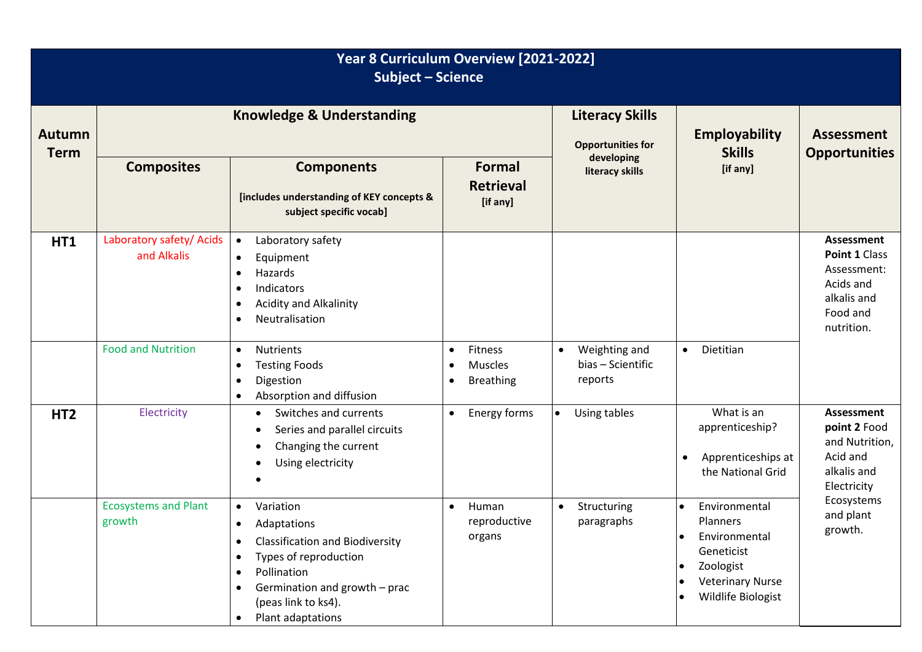| Year 8 Curriculum Overview [2021-2022]<br><b>Subject - Science</b> |                                         |                                                                                                                                                                                                                                |                                                     |                                                            |                                                                                                                               |                                                                                                                                     |  |
|--------------------------------------------------------------------|-----------------------------------------|--------------------------------------------------------------------------------------------------------------------------------------------------------------------------------------------------------------------------------|-----------------------------------------------------|------------------------------------------------------------|-------------------------------------------------------------------------------------------------------------------------------|-------------------------------------------------------------------------------------------------------------------------------------|--|
| <b>Autumn</b><br><b>Term</b>                                       | <b>Knowledge &amp; Understanding</b>    |                                                                                                                                                                                                                                |                                                     | <b>Literacy Skills</b><br><b>Opportunities for</b>         | <b>Employability</b><br><b>Skills</b>                                                                                         | <b>Assessment</b><br><b>Opportunities</b>                                                                                           |  |
|                                                                    | <b>Composites</b>                       | <b>Components</b><br>[includes understanding of KEY concepts &<br>subject specific vocab]                                                                                                                                      | Formal<br><b>Retrieval</b><br>[if any]              | developing<br>literacy skills                              | [if any]                                                                                                                      |                                                                                                                                     |  |
| <b>HT1</b>                                                         | Laboratory safety/ Acids<br>and Alkalis | Laboratory safety<br>$\bullet$<br>Equipment<br>$\bullet$<br>Hazards<br>Indicators<br><b>Acidity and Alkalinity</b><br>٠<br>Neutralisation<br>$\bullet$                                                                         |                                                     |                                                            |                                                                                                                               | Assessment<br>Point 1 Class<br>Assessment:<br>Acids and<br>alkalis and<br>Food and<br>nutrition.                                    |  |
|                                                                    | <b>Food and Nutrition</b>               | <b>Nutrients</b><br>$\bullet$<br><b>Testing Foods</b><br>Digestion<br>Absorption and diffusion<br>$\bullet$                                                                                                                    | Fitness<br>$\bullet$<br>Muscles<br><b>Breathing</b> | Weighting and<br>$\bullet$<br>bias - Scientific<br>reports | Dietitian<br>$\bullet$                                                                                                        |                                                                                                                                     |  |
| HT <sub>2</sub>                                                    | Electricity                             | Switches and currents<br>$\bullet$<br>Series and parallel circuits<br>$\bullet$<br>Changing the current<br>$\bullet$<br>Using electricity<br>$\bullet$                                                                         | Energy forms<br>$\bullet$                           | Using tables<br>$\bullet$                                  | What is an<br>apprenticeship?<br>Apprenticeships at<br>the National Grid                                                      | <b>Assessment</b><br>point 2 Food<br>and Nutrition,<br>Acid and<br>alkalis and<br>Electricity<br>Ecosystems<br>and plant<br>growth. |  |
|                                                                    | <b>Ecosystems and Plant</b><br>growth   | Variation<br>$\bullet$<br>Adaptations<br>$\bullet$<br><b>Classification and Biodiversity</b><br>$\bullet$<br>Types of reproduction<br>Pollination<br>Germination and growth - prac<br>(peas link to ks4).<br>Plant adaptations | Human<br>$\bullet$<br>reproductive<br>organs        | Structuring<br>$\bullet$<br>paragraphs                     | Environmental<br><b>Planners</b><br>Environmental<br>Geneticist<br>Zoologist<br><b>Veterinary Nurse</b><br>Wildlife Biologist |                                                                                                                                     |  |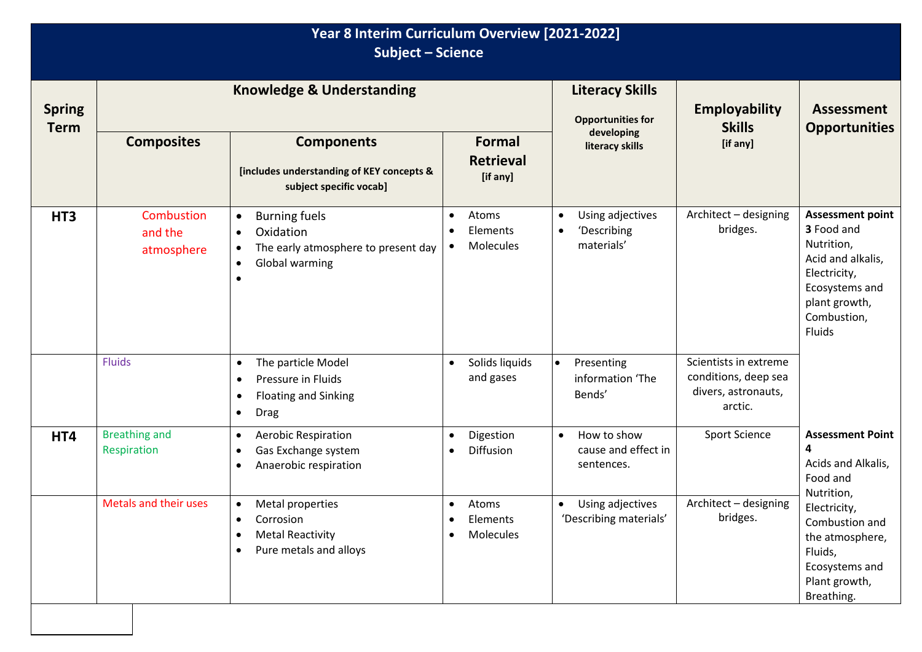| Year 8 Interim Curriculum Overview [2021-2022]<br><b>Subject - Science</b> |                                      |                                                                                                                                                |                                                          |                                                                         |                                                                                 |                                                                                                                                                      |  |
|----------------------------------------------------------------------------|--------------------------------------|------------------------------------------------------------------------------------------------------------------------------------------------|----------------------------------------------------------|-------------------------------------------------------------------------|---------------------------------------------------------------------------------|------------------------------------------------------------------------------------------------------------------------------------------------------|--|
| <b>Spring</b><br><b>Term</b>                                               | <b>Knowledge &amp; Understanding</b> |                                                                                                                                                |                                                          | <b>Literacy Skills</b><br><b>Opportunities for</b>                      | <b>Employability</b><br><b>Skills</b>                                           | <b>Assessment</b><br><b>Opportunities</b>                                                                                                            |  |
|                                                                            | <b>Composites</b>                    | <b>Components</b><br>[includes understanding of KEY concepts &<br>subject specific vocab]                                                      | <b>Formal</b><br><b>Retrieval</b><br>[if any]            | developing<br>literacy skills                                           | [if any]                                                                        |                                                                                                                                                      |  |
| HT <sub>3</sub>                                                            | Combustion<br>and the<br>atmosphere  | <b>Burning fuels</b><br>$\bullet$<br>Oxidation<br>$\bullet$<br>The early atmosphere to present day<br>$\bullet$<br>Global warming<br>$\bullet$ | Atoms<br>$\bullet$<br>Elements<br>Molecules<br>$\bullet$ | Using adjectives<br>$\bullet$<br>'Describing<br>$\bullet$<br>materials' | Architect - designing<br>bridges.                                               | <b>Assessment point</b><br>3 Food and<br>Nutrition,<br>Acid and alkalis,<br>Electricity,<br>Ecosystems and<br>plant growth,<br>Combustion,<br>Fluids |  |
|                                                                            | <b>Fluids</b>                        | The particle Model<br>$\bullet$<br>Pressure in Fluids<br>$\bullet$<br><b>Floating and Sinking</b><br>$\bullet$<br><b>Drag</b><br>$\bullet$     | Solids liquids<br>$\bullet$<br>and gases                 | Presenting<br>$\bullet$<br>information 'The<br>Bends'                   | Scientists in extreme<br>conditions, deep sea<br>divers, astronauts,<br>arctic. |                                                                                                                                                      |  |
| HT4                                                                        | <b>Breathing and</b><br>Respiration  | <b>Aerobic Respiration</b><br>$\bullet$<br>Gas Exchange system<br>$\bullet$<br>Anaerobic respiration<br>$\bullet$                              | Digestion<br>$\bullet$<br>Diffusion<br>$\bullet$         | How to show<br>$\bullet$<br>cause and effect in<br>sentences.           | Sport Science                                                                   | <b>Assessment Point</b><br>Δ<br>Acids and Alkalis,<br>Food and<br>Nutrition,                                                                         |  |
|                                                                            | Metals and their uses                | Metal properties<br>$\bullet$<br>Corrosion<br>$\bullet$<br><b>Metal Reactivity</b><br>$\bullet$<br>Pure metals and alloys<br>$\bullet$         | Atoms<br>$\bullet$<br>Elements<br>$\bullet$<br>Molecules | Using adjectives<br>$\bullet$<br>'Describing materials'                 | Architect - designing<br>bridges.                                               | Electricity,<br>Combustion and<br>the atmosphere,<br>Fluids,<br>Ecosystems and<br>Plant growth,<br>Breathing.                                        |  |